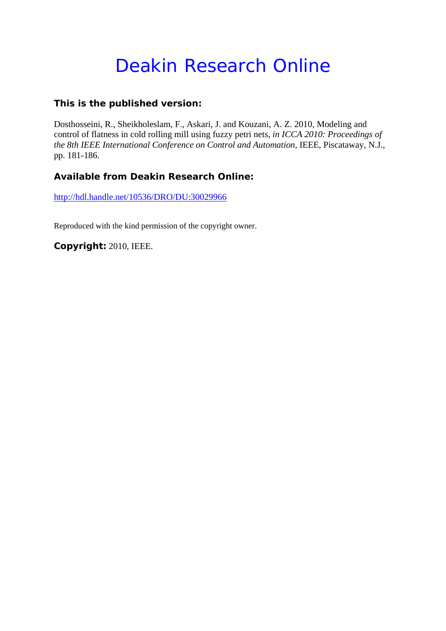# Deakin Research Online

### **This is the published version:**

Dosthosseini, R., Sheikholeslam, F., Askari, J. and Kouzani, A. Z. 2010, Modeling and control of flatness in cold rolling mill using fuzzy petri nets*, in ICCA 2010: Proceedings of the 8th IEEE International Conference on Control and Automation*, IEEE, Piscataway, N.J., pp. 181-186.

## **Available from Deakin Research Online:**

http://hdl.handle.net/10536/DRO/DU:30029966

Reproduced with the kind permission of the copyright owner.

**Copyright:** 2010, IEEE.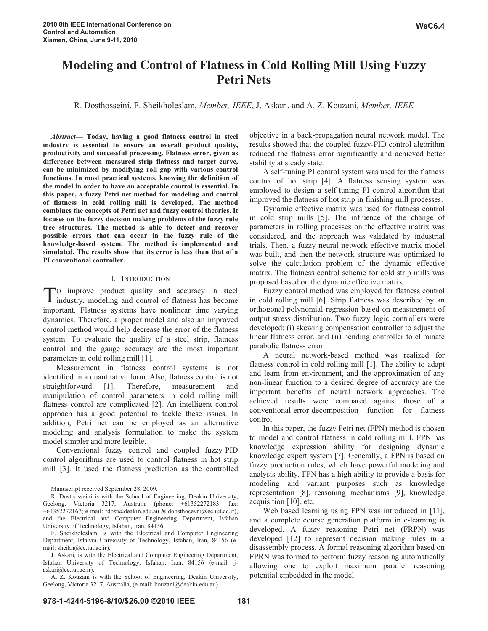## **Modeling and Control of Flatness in Cold Rolling Mill Using Fuzzy Petri Nets**

R. Dosthosseini, F. Sheikholeslam, *Member, IEEE*, J. Askari, and A. Z. Kouzani, *Member, IEEE*

*Abstract***— Today, having a good flatness control in steel industry is essential to ensure an overall product quality, productivity and successful processing. Flatness error, given as difference between measured strip flatness and target curve, can be minimized by modifying roll gap with various control functions. In most practical systems, knowing the definition of the model in order to have an acceptable control is essential. In this paper, a fuzzy Petri net method for modeling and control of flatness in cold rolling mill is developed. The method combines the concepts of Petri net and fuzzy control theories. It focuses on the fuzzy decision making problems of the fuzzy rule tree structures. The method is able to detect and recover possible errors that can occur in the fuzzy rule of the knowledge-based system. The method is implemented and simulated. The results show that its error is less than that of a PI conventional controller.** 

#### I. INTRODUCTION

O improve product quality and accuracy in steel To improve product quality and accuracy in steel<br>industry, modeling and control of flatness has become important. Flatness systems have nonlinear time varying dynamics. Therefore, a proper model and also an improved control method would help decrease the error of the flatness system. To evaluate the quality of a steel strip, flatness control and the gauge accuracy are the most important parameters in cold rolling mill [1].

Measurement in flatness control systems is not identified in a quantitative form. Also, flatness control is not straightforward [1]. Therefore, measurement and manipulation of control parameters in cold rolling mill flatness control are complicated [2]. An intelligent control approach has a good potential to tackle these issues. In addition, Petri net can be employed as an alternative modeling and analysis formulation to make the system model simpler and more legible.

Conventional fuzzy control and coupled fuzzy-PID control algorithms are used to control flatness in hot strip mill [3]. It used the flatness prediction as the controlled

Manuscript received September 28, 2009.

R. Dosthosseini is with the School of Engineering, Deakin University, Geelong, Victoria 3217, Australia (phone: +61352272183; fax: +61352272167; e-mail: rdost@deakin.edu.au & doosthoseyni@ec.iut.ac.ir), and the Electrical and Computer Engineering Department, Isfahan University of Technology, Isfahan, Iran, 84156.

F. Sheikholeslam, is with the Electrical and Computer Engineering Department, Isfahan University of Technology, Isfahan, Iran, 84156 (email: sheikh@cc.iut.ac.ir).

J. Askari, is with the Electrical and Computer Engineering Department, Isfahan University of Technology, Isfahan, Iran, 84156 (e-mail: jaskari@cc.iut.ac.ir).

A. Z. Kouzani is with the School of Engineering, Deakin University, Geelong, Victoria 3217, Australia, (e-mail: kouzani@deakin.edu.au).

objective in a back-propagation neural network model. The results showed that the coupled fuzzy-PID control algorithm reduced the flatness error significantly and achieved better stability at steady state.

A self-tuning PI control system was used for the flatness control of hot strip [4]. A flatness sensing system was employed to design a self-tuning PI control algorithm that improved the flatness of hot strip in finishing mill processes.

Dynamic effective matrix was used for flatness control in cold strip mills [5]. The influence of the change of parameters in rolling processes on the effective matrix was considered, and the approach was validated by industrial trials. Then, a fuzzy neural network effective matrix model was built, and then the network structure was optimized to solve the calculation problem of the dynamic effective matrix. The flatness control scheme for cold strip mills was proposed based on the dynamic effective matrix.

Fuzzy control method was employed for flatness control in cold rolling mill [6]. Strip flatness was described by an orthogonal polynomial regression based on measurement of output stress distribution. Two fuzzy logic controllers were developed: (i) skewing compensation controller to adjust the linear flatness error, and (ii) bending controller to eliminate parabolic flatness error.

A neural network-based method was realized for flatness control in cold rolling mill [1]. The ability to adapt and learn from environment, and the approximation of any non-linear function to a desired degree of accuracy are the important benefits of neural network approaches. The achieved results were compared against those of a conventional-error-decomposition function for flatness control.

In this paper, the fuzzy Petri net (FPN) method is chosen to model and control flatness in cold rolling mill. FPN has knowledge expression ability for designing dynamic knowledge expert system [7]. Generally, a FPN is based on fuzzy production rules, which have powerful modeling and analysis ability. FPN has a high ability to provide a basis for modeling and variant purposes such as knowledge representation [8], reasoning mechanisms [9], knowledge acquisition [10], etc.

Web based learning using FPN was introduced in [11], and a complete course generation platform in e-learning is developed. A fuzzy reasoning Petri net (FRPN) was developed [12] to represent decision making rules in a disassembly process. A formal reasoning algorithm based on FPRN was formed to perform fuzzy reasoning automatically allowing one to exploit maximum parallel reasoning potential embedded in the model.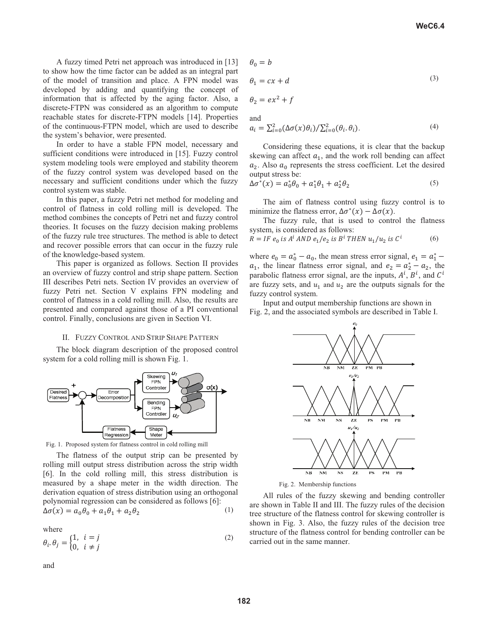A fuzzy timed Petri net approach was introduced in [13] to show how the time factor can be added as an integral part of the model of transition and place. A FPN model was developed by adding and quantifying the concept of information that is affected by the aging factor. Also, a discrete-FTPN was considered as an algorithm to compute reachable states for discrete-FTPN models [14]. Properties of the continuous-FTPN model, which are used to describe the system's behavior, were presented.

In order to have a stable FPN model, necessary and sufficient conditions were introduced in [15]. Fuzzy control system modeling tools were employed and stability theorem of the fuzzy control system was developed based on the necessary and sufficient conditions under which the fuzzy control system was stable.

In this paper, a fuzzy Petri net method for modeling and control of flatness in cold rolling mill is developed. The method combines the concepts of Petri net and fuzzy control theories. It focuses on the fuzzy decision making problems of the fuzzy rule tree structures. The method is able to detect and recover possible errors that can occur in the fuzzy rule of the knowledge-based system.

This paper is organized as follows. Section II provides an overview of fuzzy control and strip shape pattern. Section III describes Petri nets. Section IV provides an overview of fuzzy Petri net. Section V explains FPN modeling and control of flatness in a cold rolling mill. Also, the results are presented and compared against those of a PI conventional control. Finally, conclusions are given in Section VI.

#### II. FUZZY CONTROL AND STRIP SHAPE PATTERN

The block diagram description of the proposed control system for a cold rolling mill is shown Fig. 1.





The flatness of the output strip can be presented by rolling mill output stress distribution across the strip width [6]. In the cold rolling mill, this stress distribution is measured by a shape meter in the width direction. The derivation equation of stress distribution using an orthogonal polynomial regression can be considered as follows [6]:  $\Delta \sigma(x) = a_0 \ddot{\theta_0} + a_1 \theta_1 + a_2 \theta$  $\sim$  (1)

where

$$
\theta_i \cdot \theta_j = \begin{cases} 1, & i = j \\ 0, & i \neq j \end{cases}
$$
 (2)

and

$$
\theta_0 = b
$$

$$
\theta_1 = cx + d \tag{3}
$$

$$
\theta_2 = ex^2 + f
$$

and

$$
a_i = \sum_{i=0}^{2} (\Delta \sigma(x)\theta_i) / \sum_{i=0}^{2} (\theta_i, \theta_i).
$$
 (4)

Considering these equations, it is clear that the backup skewing can affect  $a_1$ , and the work roll bending can affect  $a_2$ . Also  $a_0$  represents the stress coefficient. Let the desired output stress be:

$$
\Delta \sigma^*(x) = a_0^* \theta_0 + a_1^* \theta_1 + a_2^* \theta_2 \tag{5}
$$

The aim of flatness control using fuzzy control is to minimize the flatness error,  $\Delta \sigma^*(x) - \Delta \sigma(x)$ .

The fuzzy rule, that is used to control the flatness system, is considered as follows:

$$
R = IF \ e_0 \ is \ A^i \ AND \ e_1 / e_2 \ is \ B^i \ THEN \ u_1 / u_2 \ is \ C^i \tag{6}
$$

where  $e_0 = a_0^* - a_0$ , the mean stress error signal,  $e_1 = a_1^*$  –  $a_1$ , the linear flatness error signal, and  $e_2 = a_2^* - a_2$ , the parabolic flatness error signal, are the inputs,  $A^i$ ,  $B^i$ , and  $C^i$ are fuzzy sets, and  $u_1$  and  $u_2$  are the outputs signals for the fuzzy control system.

Input and output membership functions are shown in Fig. 2, and the associated symbols are described in Table I.



Fig. 2. Membership functions

All rules of the fuzzy skewing and bending controller are shown in Table II and III. The fuzzy rules of the decision tree structure of the flatness control for skewing controller is shown in Fig. 3. Also, the fuzzy rules of the decision tree structure of the flatness control for bending controller can be carried out in the same manner.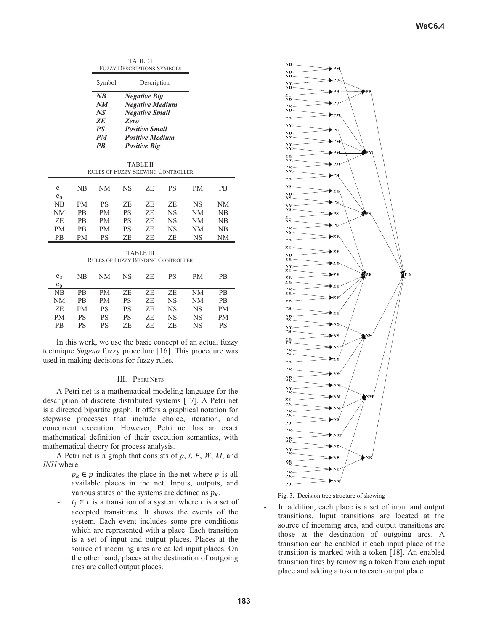|                         |           | <b>FUZZY DESCRIPTIONS SYMBOLS</b>        |                                                                                                                                                          |                  |           |           |    |
|-------------------------|-----------|------------------------------------------|----------------------------------------------------------------------------------------------------------------------------------------------------------|------------------|-----------|-----------|----|
|                         |           | Symbol                                   | Description                                                                                                                                              |                  |           |           |    |
|                         |           | NB<br>NM<br>NS<br>ZE<br>PS<br>PM<br>PB   | <b>Negative Big</b><br><b>Negative Medium</b><br><b>Negative Small</b><br>Zero<br><b>Positive Small</b><br><b>Positive Medium</b><br><b>Positive Big</b> |                  |           |           |    |
|                         |           | <b>RULES OF FUZZY SKEWING CONTROLLER</b> |                                                                                                                                                          | <b>TABLE II</b>  |           |           |    |
| e <sub>1</sub><br>$e_0$ | NB        | NM                                       | <b>NS</b>                                                                                                                                                | ZE               | <b>PS</b> | PM        | PB |
| NB                      | <b>PM</b> | <b>PS</b>                                | ZE                                                                                                                                                       | ZE               | ZE        | <b>NS</b> | NM |
| NM                      | PB        | PM                                       | PS                                                                                                                                                       | ZE               | NS        | NM        | NB |
| ZE                      | PB        | PM                                       | PS                                                                                                                                                       | ZE               | NS        | NM        | NB |
| <b>PM</b>               | PВ        | PM                                       | PS                                                                                                                                                       | ZE               | NS        | NΜ        | NB |
| PB                      | PМ        | <b>PS</b>                                | ZE                                                                                                                                                       | ZE               | ZE        | NS        | NM |
|                         |           | <b>RULES OF FUZZY BENDING CONTROLLER</b> |                                                                                                                                                          | <b>TABLE III</b> |           |           |    |
| e <sub>2</sub><br>$e_0$ | NB        | NM                                       | <b>NS</b>                                                                                                                                                | ZE               | <b>PS</b> | <b>PM</b> | PB |
| NB                      | PB        | PM                                       | ZE                                                                                                                                                       | ZE               | ZE        | <b>NM</b> | PB |
| NM                      | PВ        | PM                                       | PS                                                                                                                                                       | ZE               | NS        | NM        | PВ |
| ZE                      | PM        | <b>PS</b>                                | PS                                                                                                                                                       | ZE               | NS        | NS        | PM |
| <b>PM</b>               | PS        | <b>PS</b>                                | PS                                                                                                                                                       | ZE               | NS        | NS        | PM |
| PB                      | PS        | PS                                       | ZE                                                                                                                                                       | ZE               | ZE        | NS        | PS |

TABLE I

In this work, we use the basic concept of an actual fuzzy technique *Sugeno* fuzzy procedure [16]. This procedure was used in making decisions for fuzzy rules.

#### III. PETRI NETS

A Petri net is a mathematical modeling language for the description of discrete distributed systems [17]. A Petri net is a directed bipartite graph. It offers a graphical notation for stepwise processes that include choice, iteration, and concurrent execution. However, Petri net has an exact mathematical definition of their execution semantics, with mathematical theory for process analysis.

A Petri net is a graph that consists of *p*, *t*, *F*, *W*, *M*, and *INH* where

- $p_k \in p$  indicates the place in the net where p is all available places in the net. Inputs, outputs, and various states of the systems are defined as  $p_k$ .
- $t_i \in t$  is a transition of a system where t is a set of accepted transitions. It shows the events of the system. Each event includes some pre conditions which are represented with a place. Each transition is a set of input and output places. Places at the source of incoming arcs are called input places. On the other hand, places at the destination of outgoing arcs are called output places.



Fig. 3. Decision tree structure of skewing

In addition, each place is a set of input and output transitions. Input transitions are located at the source of incoming arcs, and output transitions are those at the destination of outgoing arcs. A transition can be enabled if each input place of the transition is marked with a token [18]. An enabled transition fires by removing a token from each input place and adding a token to each output place.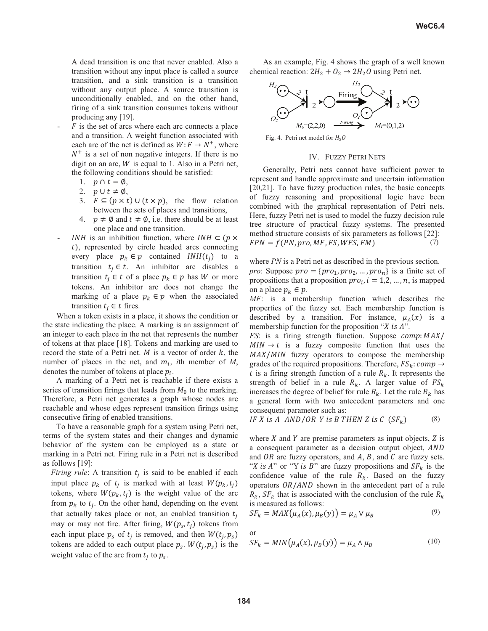A dead transition is one that never enabled. Also a transition without any input place is called a source transition, and a sink transition is a transition without any output place. A source transition is unconditionally enabled, and on the other hand, firing of a sink transition consumes tokens without producing any [19].

- $F$  is the set of arcs where each arc connects a place and a transition. A weight function associated with each arc of the net is defined as  $W: F \to N^+$ , where  $N^+$  is a set of non negative integers. If there is no digit on an arc,  $W$  is equal to 1. Also in a Petri net, the following conditions should be satisfied:
	- 1.  $p \cap t = \emptyset$ ,
	- 2.  $p \cup t \neq \emptyset$ ,
	- 3.  $F \subseteq (p \times t) \cup (t \times p)$ , the flow relation between the sets of places and transitions,
	- 4.  $p \neq \emptyset$  and  $t \neq \emptyset$ , i.e. there should be at least one place and one transition.
- INH is an inhibition function, where  $INH \subset (p \times$  $t$ ), represented by circle headed arcs connecting every place  $p_k \in p$  contained  $INH(t_i)$  to a transition  $t_i \in t$ . An inhibitor arc disables a transition  $t_i \in t$  of a place  $p_k \in p$  has W or more tokens. An inhibitor arc does not change the marking of a place  $p_k \in p$  when the associated transition  $t_i \in t$  fires.

When a token exists in a place, it shows the condition or the state indicating the place. A marking is an assignment of an integer to each place in the net that represents the number of tokens at that place [18]. Tokens and marking are used to record the state of a Petri net. M is a vector of order  $k$ , the number of places in the net, and  $m_i$ , *i*th member of *M*, denotes the number of tokens at place  $p_i$ .

A marking of a Petri net is reachable if there exists a series of transition firings that leads from  $M_0$  to the marking. Therefore, a Petri net generates a graph whose nodes are reachable and whose edges represent transition firings using consecutive firing of enabled transitions.

To have a reasonable graph for a system using Petri net, terms of the system states and their changes and dynamic behavior of the system can be employed as a state or marking in a Petri net. Firing rule in a Petri net is described as follows [19]:

*Firing rule*: A transition  $t_i$  is said to be enabled if each input place  $p_k$  of  $t_i$  is marked with at least  $W(p_k, t_i)$ tokens, where  $W(p_k, t_i)$  is the weight value of the arc from  $p_k$  to  $t_i$ . On the other hand, depending on the event that actually takes place or not, an enabled transition  $t_i$ may or may not fire. After firing,  $W(p<sub>s</sub>, t<sub>i</sub>)$  tokens from each input place  $p_s$  of  $t_j$  is removed, and then  $W(t_j, p_s)$ tokens are added to each output place  $p_s$ .  $W(t_i, p_s)$  is the weight value of the arc from  $t_i$  to  $p_s$ .

As an example, Fig. 4 shows the graph of a well known chemical reaction:  $2H_2 + O_2 \rightarrow 2H_2O$  using Petri net.



Fig. 4. Petri net model for  $H_2O$ 

#### IV. FUZZY PETRI NETS

Generally, Petri nets cannot have sufficient power to represent and handle approximate and uncertain information [20,21]. To have fuzzy production rules, the basic concepts of fuzzy reasoning and propositional logic have been combined with the graphical representation of Petri nets. Here, fuzzy Petri net is used to model the fuzzy decision rule tree structure of practical fuzzy systems. The presented method structure consists of six parameters as follows [22]:  $FPN = f(PN, pro, MF, FS, WFS, FM)$  (7)

where *PN* is a Petri net as described in the previous section. *pro*: Suppose  $pro = \{pro_1, pro_2, ..., pro_n\}$  is a finite set of propositions that a proposition  $pro_i$ ,  $i = 1, 2, ..., n$ , is mapped on a place  $p_k \in p$ .

*MF*: is a membership function which describes the properties of the fuzzy set. Each membership function is described by a transition. For instance,  $\mu_A(x)$  is a membership function for the proposition " $X$  is  $A$ ".

*FS*: is a firing strength function. Suppose  $comp: MAX/$  $MIN \rightarrow t$  is a fuzzy composite function that uses the  $MAX/MIN$  fuzzy operators to compose the membership grades of the required propositions. Therefore,  $FS_k$ : comp  $\rightarrow$ t is a firing strength function of a rule  $R_k$ . It represents the strength of belief in a rule  $R_k$ . A larger value of  $FS_k$ increases the degree of belief for rule  $R_k$ . Let the rule  $R_k$  has a general form with two antecedent parameters and one consequent parameter such as:

IF X is A AND/OR Y is B THEN Z is C 
$$
(SF_k)
$$
 (8)

where  $X$  and  $Y$  are premise parameters as input objects,  $Z$  is a consequent parameter as a decision output object,  $AND$ and  $OR$  are fuzzy operators, and  $A$ ,  $B$ , and  $C$  are fuzzy sets. "X is A" or "Y is B" are fuzzy propositions and  $SF_k$  is the confidence value of the rule  $R_k$ . Based on the fuzzy operators  $OR/AND$  shown in the antecedent part of a rule  $R_k$ ,  $SF_k$  that is associated with the conclusion of the rule  $R_k$ is measured as follows:

$$
SF_k = MAX(\mu_A(x), \mu_B(y)) = \mu_A \vee \mu_B \tag{9}
$$

or

$$
SF_k = MIN(\mu_A(x), \mu_B(y)) = \mu_A \wedge \mu_B \tag{10}
$$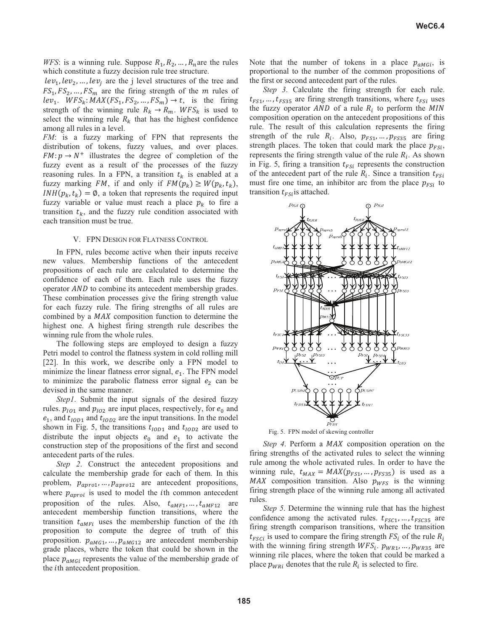*WFS*: is a winning rule. Suppose  $R_1, R_2, \ldots, R_n$  are the rules which constitute a fuzzy decision rule tree structure.

 $lev_1, lev_2, ..., lev_i$  are the j level structures of the tree and  $FS_1, FS_2, \ldots, FS_m$  are the firing strength of the m rules of  $lev_1$ .  $WFS_k$ :  $MAX(FS_1, FS_2, ..., FS_m) \rightarrow t$ , is the firing strength of the winning rule  $R_k \rightarrow R_m$ . WFS<sub>k</sub> is used to select the winning rule  $R_k$  that has the highest confidence among all rules in a level.

*FM*: is a fuzzy marking of FPN that represents the distribution of tokens, fuzzy values, and over places.  $FM: p \rightarrow N^+$  illustrates the degree of completion of the fuzzy event as a result of the processes of the fuzzy reasoning rules. In a FPN, a transition  $t_k$  is enabled at a fuzzy marking *FM*, if and only if  $FM(p_k) \geq W(p_k, t_k)$ ,  $INH(p_k, t_k) = \emptyset$ , a token that represents the required input fuzzy variable or value must reach a place  $p_k$  to fire a transition  $t_k$ , and the fuzzy rule condition associated with each transition must be true.

#### V. FPN DESIGN FOR FLATNESS CONTROL

In FPN, rules become active when their inputs receive new values. Membership functions of the antecedent propositions of each rule are calculated to determine the confidence of each of them. Each rule uses the fuzzy operator *AND* to combine its antecedent membership grades. These combination processes give the firing strength value for each fuzzy rule. The firing strengths of all rules are combined by a *MAX* composition function to determine the highest one. A highest firing strength rule describes the winning rule from the whole rules.

The following steps are employed to design a fuzzy Petri model to control the flatness system in cold rolling mill [22]. In this work, we describe only a FPN model to minimize the linear flatness error signal,  $e_1$ . The FPN model to minimize the parabolic flatness error signal  $e_2$  can be devised in the same manner.

*Step1*. Submit the input signals of the desired fuzzy rules.  $p_{101}$  and  $p_{102}$  are input places, respectively, for  $e_0$  and  $e_1$ , and  $t_{IOD1}$  and  $t_{IOD2}$  are the input transitions. In the model shown in Fig. 5, the transitions  $t_{IOD1}$  and  $t_{IOD2}$  are used to distribute the input objects  $e_0$  and  $e_1$  to activate the construction step of the propositions of the first and second antecedent parts of the rules.

*Step 2*. Construct the antecedent propositions and calculate the membership grade for each of them. In this problem,  $p_{\text{apro1}}, \ldots, p_{\text{apro12}}$  are antecedent propositions, where  $p_{\text{aproi}}$  is used to model the *i*th common antecedent proposition of the rules. Also,  $t_{aMF1}, \ldots, t_{aMF12}$  are antecedent membership function transitions, where the transition  $t_{aMFi}$  uses the membership function of the *i*th proposition to compute the degree of truth of this proposition.  $p_{aMG1}, \ldots, p_{aMG12}$  are antecedent membership grade places, where the token that could be shown in the place  $p_{aMGI}$  represents the value of the membership grade of the *i*th antecedent proposition.

Note that the number of tokens in a place  $p_{a\mu G_i}$ , is proportional to the number of the common propositions of the first or second antecedent part of the rules.

*Step 3*. Calculate the firing strength for each rule.  $t_{FS1}$ , ...,  $t_{FS35}$  are firing strength transitions, where  $t_{FSi}$  uses the fuzzy operator  $AND$  of a rule  $R_i$  to perform the MIN composition operation on the antecedent propositions of this rule. The result of this calculation represents the firing strength of the rule  $R_i$ . Also,  $p_{FS1}, \ldots, p_{FS35}$  are firing strength places. The token that could mark the place  $p_{FSi}$ , represents the firing strength value of the rule  $R_i$ . As shown in Fig. 5, firing a transition  $t_{FSi}$  represents the construction of the antecedent part of the rule  $R_i$ . Since a transition  $t_{FSi}$ must fire one time, an inhibitor arc from the place  $p_{FSi}$  to transition  $t_{FSi}$  is attached.



Fig. 5. FPN model of skewing controller

*Step 4*. Perform a *MAX* composition operation on the firing strengths of the activated rules to select the winning rule among the whole activated rules. In order to have the winning rule,  $t_{MAX} = MAX(p_{FS1}, ..., p_{FS35})$  is used as a MAX composition transition. Also  $p_{WFS}$  is the winning firing strength place of the winning rule among all activated rules.

*Step 5*. Determine the winning rule that has the highest confidence among the activated rules.  $t_{FSC1}$ , ...,  $t_{FSC35}$  are firing strength comparison transitions, where the transition  $t_{F\text{SCI}}$  is used to compare the firing strength  $FS_i$  of the rule  $R_i$ with the winning firing strength  $WFS_i$ .  $p_{WR1}, \ldots, p_{WR35}$  are winning rile places, where the token that could be marked a place  $p_{WRi}$  denotes that the rule  $R_i$  is selected to fire.